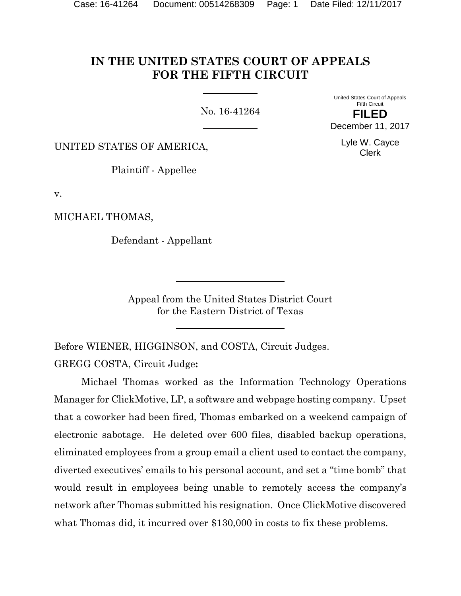# **IN THE UNITED STATES COURT OF APPEALS FOR THE FIFTH CIRCUIT**

No. 16-41264

United States Court of Appeals Fifth Circuit

**FILED** December 11, 2017

> Lyle W. Cayce Clerk

UNITED STATES OF AMERICA,

Plaintiff - Appellee

v.

MICHAEL THOMAS,

Defendant - Appellant

Appeal from the United States District Court for the Eastern District of Texas

Before WIENER, HIGGINSON, and COSTA, Circuit Judges.

GREGG COSTA, Circuit Judge**:**

Michael Thomas worked as the Information Technology Operations Manager for ClickMotive, LP, a software and webpage hosting company. Upset that a coworker had been fired, Thomas embarked on a weekend campaign of electronic sabotage. He deleted over 600 files, disabled backup operations, eliminated employees from a group email a client used to contact the company, diverted executives' emails to his personal account, and set a "time bomb" that would result in employees being unable to remotely access the company's network after Thomas submitted his resignation. Once ClickMotive discovered what Thomas did, it incurred over \$130,000 in costs to fix these problems.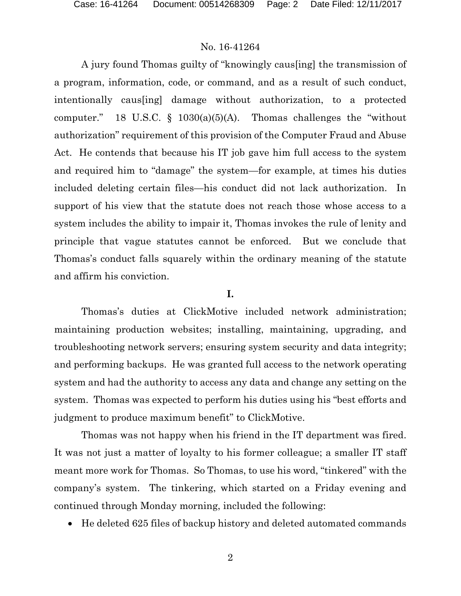A jury found Thomas guilty of "knowingly caus[ing] the transmission of a program, information, code, or command, and as a result of such conduct, intentionally caus[ing] damage without authorization, to a protected computer." 18 U.S.C. § 1030(a)(5)(A). Thomas challenges the "without authorization" requirement of this provision of the Computer Fraud and Abuse Act. He contends that because his IT job gave him full access to the system and required him to "damage" the system—for example, at times his duties included deleting certain files—his conduct did not lack authorization. In support of his view that the statute does not reach those whose access to a system includes the ability to impair it, Thomas invokes the rule of lenity and principle that vague statutes cannot be enforced. But we conclude that Thomas's conduct falls squarely within the ordinary meaning of the statute and affirm his conviction.

#### **I.**

Thomas's duties at ClickMotive included network administration; maintaining production websites; installing, maintaining, upgrading, and troubleshooting network servers; ensuring system security and data integrity; and performing backups. He was granted full access to the network operating system and had the authority to access any data and change any setting on the system. Thomas was expected to perform his duties using his "best efforts and judgment to produce maximum benefit" to ClickMotive.

Thomas was not happy when his friend in the IT department was fired. It was not just a matter of loyalty to his former colleague; a smaller IT staff meant more work for Thomas. So Thomas, to use his word, "tinkered" with the company's system. The tinkering, which started on a Friday evening and continued through Monday morning, included the following:

• He deleted 625 files of backup history and deleted automated commands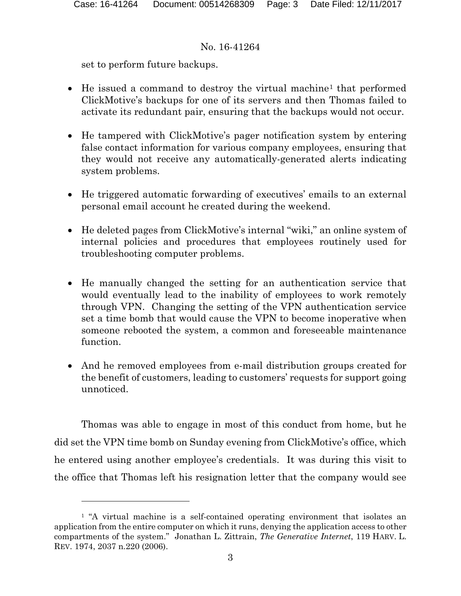# No. 16-41264

set to perform future backups.

- He issued a command to destroy the virtual machine<sup>[1](#page-2-0)</sup> that performed ClickMotive's backups for one of its servers and then Thomas failed to activate its redundant pair, ensuring that the backups would not occur.
- He tampered with ClickMotive's pager notification system by entering false contact information for various company employees, ensuring that they would not receive any automatically-generated alerts indicating system problems.
- He triggered automatic forwarding of executives' emails to an external personal email account he created during the weekend.
- He deleted pages from ClickMotive's internal "wiki," an online system of internal policies and procedures that employees routinely used for troubleshooting computer problems.
- He manually changed the setting for an authentication service that would eventually lead to the inability of employees to work remotely through VPN. Changing the setting of the VPN authentication service set a time bomb that would cause the VPN to become inoperative when someone rebooted the system, a common and foreseeable maintenance function.
- And he removed employees from e-mail distribution groups created for the benefit of customers, leading to customers' requests for support going unnoticed.

Thomas was able to engage in most of this conduct from home, but he did set the VPN time bomb on Sunday evening from ClickMotive's office, which he entered using another employee's credentials. It was during this visit to the office that Thomas left his resignation letter that the company would see

<span id="page-2-0"></span><sup>1</sup> "A virtual machine is a self-contained operating environment that isolates an application from the entire computer on which it runs, denying the application access to other compartments of the system." Jonathan L. Zittrain, *The Generative Internet*, 119 HARV. L. REV. 1974, 2037 n.220 (2006).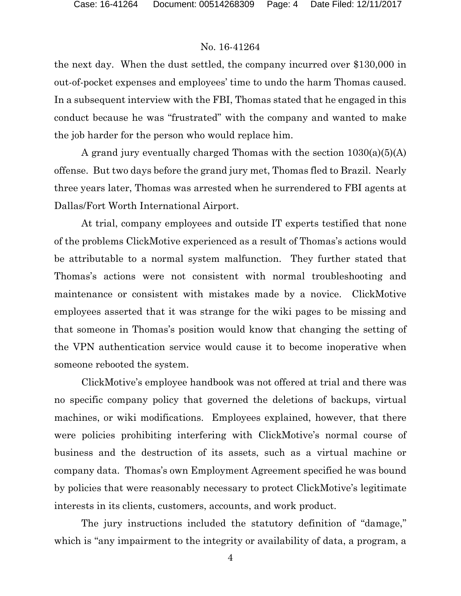the next day. When the dust settled, the company incurred over \$130,000 in out-of-pocket expenses and employees' time to undo the harm Thomas caused. In a subsequent interview with the FBI, Thomas stated that he engaged in this conduct because he was "frustrated" with the company and wanted to make the job harder for the person who would replace him.

A grand jury eventually charged Thomas with the section 1030(a)(5)(A) offense. But two days before the grand jury met, Thomas fled to Brazil. Nearly three years later, Thomas was arrested when he surrendered to FBI agents at Dallas/Fort Worth International Airport.

At trial, company employees and outside IT experts testified that none of the problems ClickMotive experienced as a result of Thomas's actions would be attributable to a normal system malfunction. They further stated that Thomas's actions were not consistent with normal troubleshooting and maintenance or consistent with mistakes made by a novice. ClickMotive employees asserted that it was strange for the wiki pages to be missing and that someone in Thomas's position would know that changing the setting of the VPN authentication service would cause it to become inoperative when someone rebooted the system.

ClickMotive's employee handbook was not offered at trial and there was no specific company policy that governed the deletions of backups, virtual machines, or wiki modifications. Employees explained, however, that there were policies prohibiting interfering with ClickMotive's normal course of business and the destruction of its assets, such as a virtual machine or company data. Thomas's own Employment Agreement specified he was bound by policies that were reasonably necessary to protect ClickMotive's legitimate interests in its clients, customers, accounts, and work product.

The jury instructions included the statutory definition of "damage," which is "any impairment to the integrity or availability of data, a program, a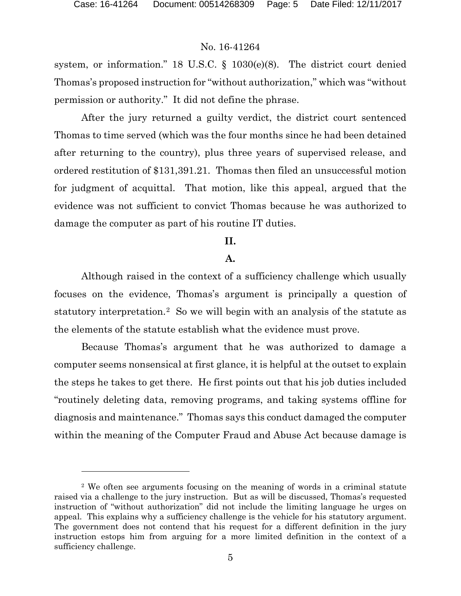# No. 16-41264

system, or information." 18 U.S.C. § 1030(e)(8). The district court denied Thomas's proposed instruction for "without authorization," which was "without permission or authority." It did not define the phrase.

After the jury returned a guilty verdict, the district court sentenced Thomas to time served (which was the four months since he had been detained after returning to the country), plus three years of supervised release, and ordered restitution of \$131,391.21. Thomas then filed an unsuccessful motion for judgment of acquittal. That motion, like this appeal, argued that the evidence was not sufficient to convict Thomas because he was authorized to damage the computer as part of his routine IT duties.

#### **II.**

#### **A.**

Although raised in the context of a sufficiency challenge which usually focuses on the evidence, Thomas's argument is principally a question of statutory interpretation.[2](#page-4-0) So we will begin with an analysis of the statute as the elements of the statute establish what the evidence must prove.

Because Thomas's argument that he was authorized to damage a computer seems nonsensical at first glance, it is helpful at the outset to explain the steps he takes to get there. He first points out that his job duties included "routinely deleting data, removing programs, and taking systems offline for diagnosis and maintenance." Thomas says this conduct damaged the computer within the meaning of the Computer Fraud and Abuse Act because damage is

<span id="page-4-0"></span><sup>2</sup> We often see arguments focusing on the meaning of words in a criminal statute raised via a challenge to the jury instruction. But as will be discussed, Thomas's requested instruction of "without authorization" did not include the limiting language he urges on appeal. This explains why a sufficiency challenge is the vehicle for his statutory argument. The government does not contend that his request for a different definition in the jury instruction estops him from arguing for a more limited definition in the context of a sufficiency challenge.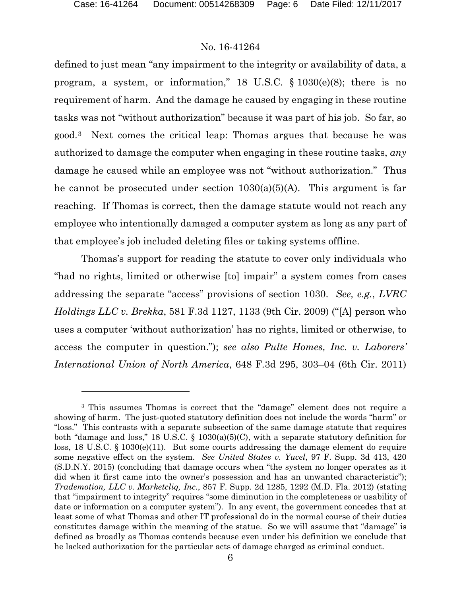#### No. 16-41264

defined to just mean "any impairment to the integrity or availability of data, a program, a system, or information," 18 U.S.C.  $\S 1030(e)(8)$ ; there is no requirement of harm. And the damage he caused by engaging in these routine tasks was not "without authorization" because it was part of his job. So far, so good.[3](#page-5-0) Next comes the critical leap: Thomas argues that because he was authorized to damage the computer when engaging in these routine tasks, *any* damage he caused while an employee was not "without authorization." Thus he cannot be prosecuted under section  $1030(a)(5)(A)$ . This argument is far reaching. If Thomas is correct, then the damage statute would not reach any employee who intentionally damaged a computer system as long as any part of that employee's job included deleting files or taking systems offline.

Thomas's support for reading the statute to cover only individuals who "had no rights, limited or otherwise [to] impair" a system comes from cases addressing the separate "access" provisions of section 1030. *See, e.g.*, *LVRC Holdings LLC v. Brekka*, 581 F.3d 1127, 1133 (9th Cir. 2009) ("[A] person who uses a computer 'without authorization' has no rights, limited or otherwise, to access the computer in question."); *see also Pulte Homes, Inc. v. Laborers' International Union of North America*, 648 F.3d 295, 303–04 (6th Cir. 2011)

<span id="page-5-0"></span><sup>3</sup> This assumes Thomas is correct that the "damage" element does not require a showing of harm. The just-quoted statutory definition does not include the words "harm" or "loss." This contrasts with a separate subsection of the same damage statute that requires both "damage and loss," 18 U.S.C. § 1030(a)(5)(C), with a separate statutory definition for loss, 18 U.S.C. § 1030(e)(11). But some courts addressing the damage element do require some negative effect on the system. *See United States v. Yucel*, 97 F. Supp. 3d 413, 420 (S.D.N.Y. 2015) (concluding that damage occurs when "the system no longer operates as it did when it first came into the owner's possession and has an unwanted characteristic"); *Trademotion, LLC v. Marketcliq, Inc.*, 857 F. Supp. 2d 1285, 1292 (M.D. Fla. 2012) (stating that "impairment to integrity" requires "some diminution in the completeness or usability of date or information on a computer system"). In any event, the government concedes that at least some of what Thomas and other IT professional do in the normal course of their duties constitutes damage within the meaning of the statue. So we will assume that "damage" is defined as broadly as Thomas contends because even under his definition we conclude that he lacked authorization for the particular acts of damage charged as criminal conduct.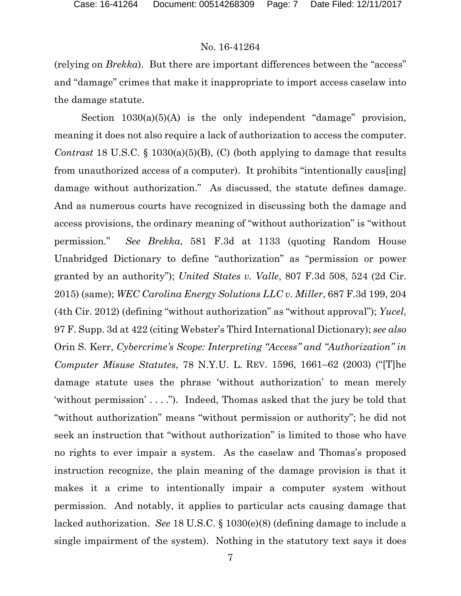(relying on *Brekka*). But there are important differences between the "access" and "damage" crimes that make it inappropriate to import access caselaw into the damage statute.

Section  $1030(a)(5)(A)$  is the only independent "damage" provision, meaning it does not also require a lack of authorization to access the computer. *Contrast* 18 U.S.C. § 1030(a)(5)(B), (C) (both applying to damage that results from unauthorized access of a computer). It prohibits "intentionally caus[ing] damage without authorization." As discussed, the statute defines damage. And as numerous courts have recognized in discussing both the damage and access provisions, the ordinary meaning of "without authorization" is "without permission." *See Brekka*, 581 F.3d at 1133 (quoting Random House Unabridged Dictionary to define "authorization" as "permission or power granted by an authority"); *United States v. Valle*, 807 F.3d 508, 524 (2d Cir. 2015) (same); *WEC Carolina Energy Solutions LLC v. Miller*, 687 F.3d 199, 204 (4th Cir. 2012) (defining "without authorization" as "without approval"); *Yucel*, 97 F. Supp. 3d at 422 (citing Webster's Third International Dictionary); *see also*  Orin S. Kerr, *Cybercrime's Scope: Interpreting "Access" and "Authorization" in Computer Misuse Statutes*, 78 N.Y.U. L. REV. 1596, 1661–62 (2003) ("[T]he damage statute uses the phrase 'without authorization' to mean merely 'without permission' . . . ."). Indeed, Thomas asked that the jury be told that "without authorization" means "without permission or authority"; he did not seek an instruction that "without authorization" is limited to those who have no rights to ever impair a system. As the caselaw and Thomas's proposed instruction recognize, the plain meaning of the damage provision is that it makes it a crime to intentionally impair a computer system without permission. And notably, it applies to particular acts causing damage that lacked authorization. *See* 18 U.S.C. § 1030(e)(8) (defining damage to include a single impairment of the system). Nothing in the statutory text says it does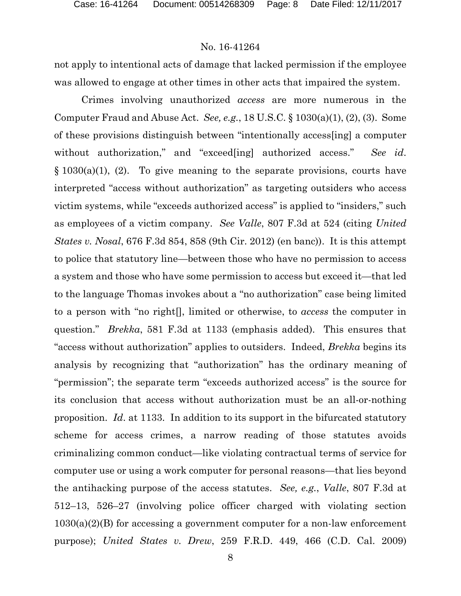not apply to intentional acts of damage that lacked permission if the employee was allowed to engage at other times in other acts that impaired the system.

Crimes involving unauthorized *access* are more numerous in the Computer Fraud and Abuse Act. *See, e.g.*, 18 U.S.C. § 1030(a)(1), (2), (3). Some of these provisions distinguish between "intentionally access[ing] a computer without authorization," and "exceed[ing] authorized access." *See id.* § 1030(a)(1), (2). To give meaning to the separate provisions, courts have interpreted "access without authorization" as targeting outsiders who access victim systems, while "exceeds authorized access" is applied to "insiders," such as employees of a victim company. *See Valle*, 807 F.3d at 524 (citing *United States v. Nosal*, 676 F.3d 854, 858 (9th Cir. 2012) (en banc)). It is this attempt to police that statutory line—between those who have no permission to access a system and those who have some permission to access but exceed it—that led to the language Thomas invokes about a "no authorization" case being limited to a person with "no right[], limited or otherwise, to *access* the computer in question." *Brekka*, 581 F.3d at 1133 (emphasis added). This ensures that "access without authorization" applies to outsiders. Indeed, *Brekka* begins its analysis by recognizing that "authorization" has the ordinary meaning of "permission"; the separate term "exceeds authorized access" is the source for its conclusion that access without authorization must be an all-or-nothing proposition. *Id*. at 1133. In addition to its support in the bifurcated statutory scheme for access crimes, a narrow reading of those statutes avoids criminalizing common conduct—like violating contractual terms of service for computer use or using a work computer for personal reasons—that lies beyond the antihacking purpose of the access statutes. *See, e.g.*, *Valle*, 807 F.3d at 512–13, 526–27 (involving police officer charged with violating section  $1030(a)(2)(B)$  for accessing a government computer for a non-law enforcement purpose); *United States v. Drew*, 259 F.R.D. 449, 466 (C.D. Cal. 2009)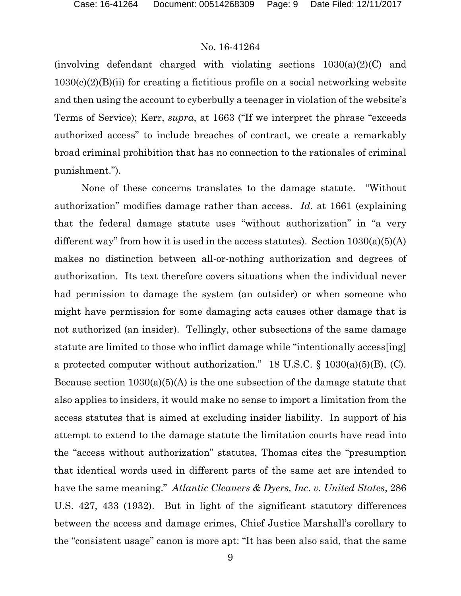(involving defendant charged with violating sections  $1030(a)(2)(C)$  and  $1030(c)(2)(B)(ii)$  for creating a fictitious profile on a social networking website and then using the account to cyberbully a teenager in violation of the website's Terms of Service); Kerr, *supra*, at 1663 ("If we interpret the phrase "exceeds authorized access" to include breaches of contract, we create a remarkably broad criminal prohibition that has no connection to the rationales of criminal punishment.").

None of these concerns translates to the damage statute. "Without authorization" modifies damage rather than access. *Id*. at 1661 (explaining that the federal damage statute uses "without authorization" in "a very different way" from how it is used in the access statutes). Section  $1030(a)(5)(A)$ makes no distinction between all-or-nothing authorization and degrees of authorization. Its text therefore covers situations when the individual never had permission to damage the system (an outsider) or when someone who might have permission for some damaging acts causes other damage that is not authorized (an insider). Tellingly, other subsections of the same damage statute are limited to those who inflict damage while "intentionally access[ing] a protected computer without authorization." 18 U.S.C. § 1030(a)(5)(B), (C). Because section  $1030(a)(5)(A)$  is the one subsection of the damage statute that also applies to insiders, it would make no sense to import a limitation from the access statutes that is aimed at excluding insider liability. In support of his attempt to extend to the damage statute the limitation courts have read into the "access without authorization" statutes, Thomas cites the "presumption that identical words used in different parts of the same act are intended to have the same meaning." *Atlantic Cleaners & Dyers, Inc*. *v. United States*, 286 U.S. 427, 433 (1932). But in light of the significant statutory differences between the access and damage crimes, Chief Justice Marshall's corollary to the "consistent usage" canon is more apt: "It has been also said, that the same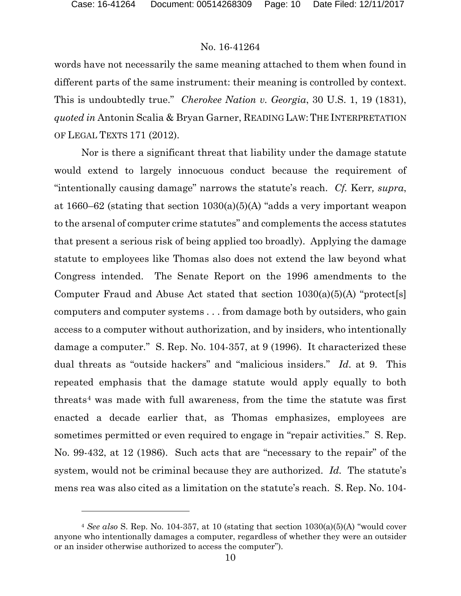## No. 16-41264

words have not necessarily the same meaning attached to them when found in different parts of the same instrument: their meaning is controlled by context. This is undoubtedly true." *Cherokee Nation v. Georgia*, 30 U.S. 1, 19 (1831), *quoted in* Antonin Scalia & Bryan Garner, READING LAW:THE INTERPRETATION OF LEGAL TEXTS 171 (2012).

Nor is there a significant threat that liability under the damage statute would extend to largely innocuous conduct because the requirement of "intentionally causing damage" narrows the statute's reach. *Cf.* Kerr*, supra*, at 1660–62 (stating that section 1030(a)(5)(A) "adds a very important weapon to the arsenal of computer crime statutes" and complements the access statutes that present a serious risk of being applied too broadly). Applying the damage statute to employees like Thomas also does not extend the law beyond what Congress intended. The Senate Report on the 1996 amendments to the Computer Fraud and Abuse Act stated that section  $1030(a)(5)(A)$  "protect[s] computers and computer systems . . . from damage both by outsiders, who gain access to a computer without authorization, and by insiders, who intentionally damage a computer." S. Rep. No. 104-357, at 9 (1996). It characterized these dual threats as "outside hackers" and "malicious insiders." *Id*. at 9. This repeated emphasis that the damage statute would apply equally to both threats<sup>[4](#page-9-0)</sup> was made with full awareness, from the time the statute was first enacted a decade earlier that, as Thomas emphasizes, employees are sometimes permitted or even required to engage in "repair activities." S. Rep. No. 99-432, at 12 (1986). Such acts that are "necessary to the repair" of the system, would not be criminal because they are authorized. *Id.* The statute's mens rea was also cited as a limitation on the statute's reach. S. Rep. No. 104-

<span id="page-9-0"></span><sup>4</sup> *See also* S. Rep. No. 104-357, at 10 (stating that section 1030(a)(5)(A) "would cover anyone who intentionally damages a computer, regardless of whether they were an outsider or an insider otherwise authorized to access the computer").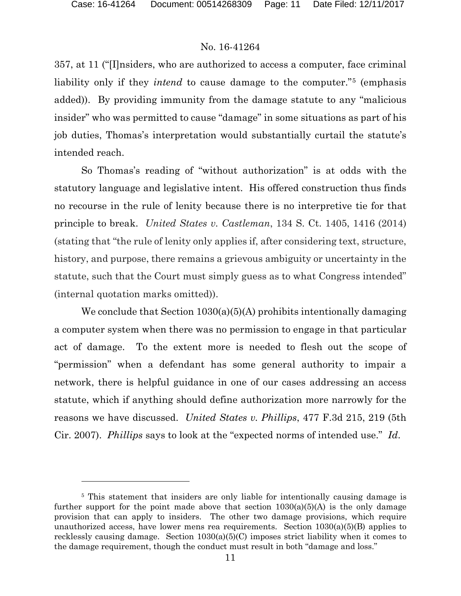# No. 16-41264

357, at 11 ("[I]nsiders, who are authorized to access a computer, face criminal liability only if they *intend* to cause damage to the computer.<sup>"[5](#page-10-0)</sup> (emphasis added)). By providing immunity from the damage statute to any "malicious insider" who was permitted to cause "damage" in some situations as part of his job duties, Thomas's interpretation would substantially curtail the statute's intended reach.

So Thomas's reading of "without authorization" is at odds with the statutory language and legislative intent. His offered construction thus finds no recourse in the rule of lenity because there is no interpretive tie for that principle to break. *United States v. Castleman*, 134 S. Ct. 1405, 1416 (2014) (stating that "the rule of lenity only applies if, after considering text, structure, history, and purpose, there remains a grievous ambiguity or uncertainty in the statute, such that the Court must simply guess as to what Congress intended" (internal quotation marks omitted)).

We conclude that Section 1030(a)(5)(A) prohibits intentionally damaging a computer system when there was no permission to engage in that particular act of damage. To the extent more is needed to flesh out the scope of "permission" when a defendant has some general authority to impair a network, there is helpful guidance in one of our cases addressing an access statute, which if anything should define authorization more narrowly for the reasons we have discussed. *United States v. Phillips*, 477 F.3d 215, 219 (5th Cir. 2007). *Phillips* says to look at the "expected norms of intended use." *Id*.

<span id="page-10-0"></span><sup>&</sup>lt;sup>5</sup> This statement that insiders are only liable for intentionally causing damage is further support for the point made above that section  $1030(a)(5)(A)$  is the only damage provision that can apply to insiders. The other two damage provisions, which require unauthorized access, have lower mens rea requirements. Section  $1030(a)(5)(B)$  applies to recklessly causing damage. Section  $1030(a)(5)(C)$  imposes strict liability when it comes to the damage requirement, though the conduct must result in both "damage and loss."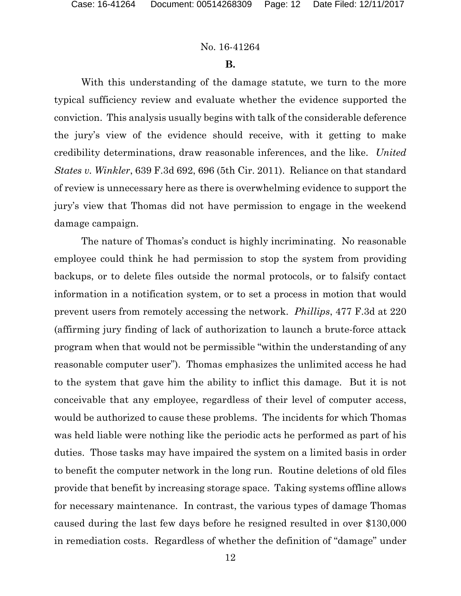#### **B.**

With this understanding of the damage statute, we turn to the more typical sufficiency review and evaluate whether the evidence supported the conviction. This analysis usually begins with talk of the considerable deference the jury's view of the evidence should receive, with it getting to make credibility determinations, draw reasonable inferences, and the like. *United States v. Winkler*, 639 F.3d 692, 696 (5th Cir. 2011). Reliance on that standard of review is unnecessary here as there is overwhelming evidence to support the jury's view that Thomas did not have permission to engage in the weekend damage campaign.

The nature of Thomas's conduct is highly incriminating. No reasonable employee could think he had permission to stop the system from providing backups, or to delete files outside the normal protocols, or to falsify contact information in a notification system, or to set a process in motion that would prevent users from remotely accessing the network. *Phillips*, 477 F.3d at 220 (affirming jury finding of lack of authorization to launch a brute-force attack program when that would not be permissible "within the understanding of any reasonable computer user"). Thomas emphasizes the unlimited access he had to the system that gave him the ability to inflict this damage. But it is not conceivable that any employee, regardless of their level of computer access, would be authorized to cause these problems. The incidents for which Thomas was held liable were nothing like the periodic acts he performed as part of his duties. Those tasks may have impaired the system on a limited basis in order to benefit the computer network in the long run. Routine deletions of old files provide that benefit by increasing storage space. Taking systems offline allows for necessary maintenance. In contrast, the various types of damage Thomas caused during the last few days before he resigned resulted in over \$130,000 in remediation costs. Regardless of whether the definition of "damage" under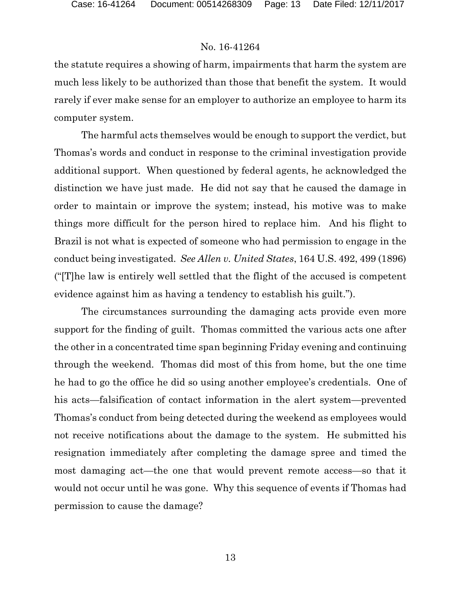the statute requires a showing of harm, impairments that harm the system are much less likely to be authorized than those that benefit the system. It would rarely if ever make sense for an employer to authorize an employee to harm its computer system.

The harmful acts themselves would be enough to support the verdict, but Thomas's words and conduct in response to the criminal investigation provide additional support. When questioned by federal agents, he acknowledged the distinction we have just made. He did not say that he caused the damage in order to maintain or improve the system; instead, his motive was to make things more difficult for the person hired to replace him. And his flight to Brazil is not what is expected of someone who had permission to engage in the conduct being investigated. *See Allen v. United States*, 164 U.S. 492, 499 (1896) ("[T]he law is entirely well settled that the flight of the accused is competent evidence against him as having a tendency to establish his guilt.").

The circumstances surrounding the damaging acts provide even more support for the finding of guilt. Thomas committed the various acts one after the other in a concentrated time span beginning Friday evening and continuing through the weekend. Thomas did most of this from home, but the one time he had to go the office he did so using another employee's credentials. One of his acts—falsification of contact information in the alert system—prevented Thomas's conduct from being detected during the weekend as employees would not receive notifications about the damage to the system. He submitted his resignation immediately after completing the damage spree and timed the most damaging act—the one that would prevent remote access—so that it would not occur until he was gone. Why this sequence of events if Thomas had permission to cause the damage?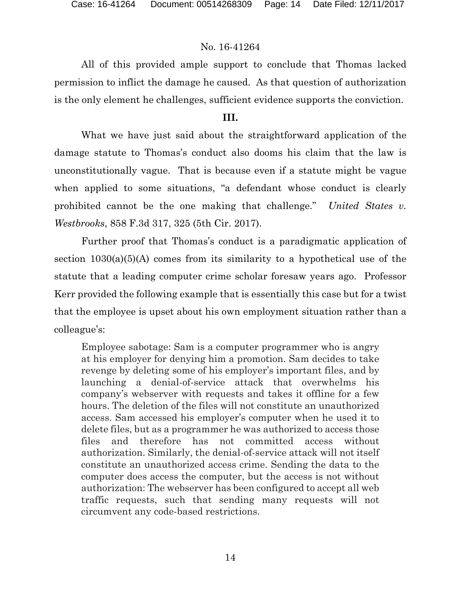All of this provided ample support to conclude that Thomas lacked permission to inflict the damage he caused. As that question of authorization is the only element he challenges, sufficient evidence supports the conviction.

# **III.**

What we have just said about the straightforward application of the damage statute to Thomas's conduct also dooms his claim that the law is unconstitutionally vague. That is because even if a statute might be vague when applied to some situations, "a defendant whose conduct is clearly prohibited cannot be the one making that challenge." *United States v. Westbrooks*, 858 F.3d 317, 325 (5th Cir. 2017).

Further proof that Thomas's conduct is a paradigmatic application of section  $1030(a)(5)(A)$  comes from its similarity to a hypothetical use of the statute that a leading computer crime scholar foresaw years ago. Professor Kerr provided the following example that is essentially this case but for a twist that the employee is upset about his own employment situation rather than a colleague's:

Employee sabotage: Sam is a computer programmer who is angry at his employer for denying him a promotion. Sam decides to take revenge by deleting some of his employer's important files, and by launching a denial-of-service attack that overwhelms his company's webserver with requests and takes it offline for a few hours. The deletion of the files will not constitute an unauthorized access. Sam accessed his employer's computer when he used it to delete files, but as a programmer he was authorized to access those files and therefore has not committed access without authorization. Similarly, the denial-of-service attack will not itself constitute an unauthorized access crime. Sending the data to the computer does access the computer, but the access is not without authorization: The webserver has been configured to accept all web traffic requests, such that sending many requests will not circumvent any code-based restrictions.